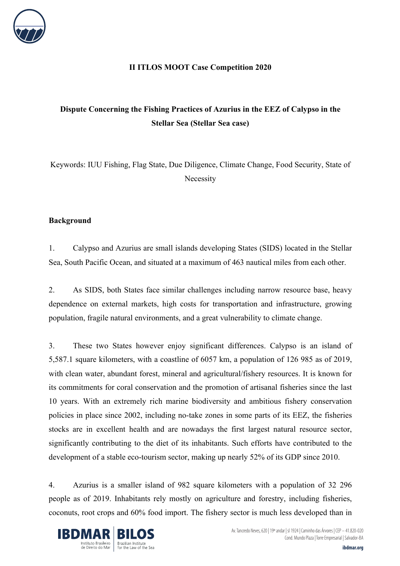

### **II ITLOS MOOT Case Competition 2020**

# **Dispute Concerning the Fishing Practices of Azurius in the EEZ of Calypso in the Stellar Sea (Stellar Sea case)**

Keywords: IUU Fishing, Flag State, Due Diligence, Climate Change, Food Security, State of Necessity

### **Background**

1. Calypso and Azurius are small islands developing States (SIDS) located in the Stellar Sea, South Pacific Ocean, and situated at a maximum of 463 nautical miles from each other.

2. As SIDS, both States face similar challenges including narrow resource base, heavy dependence on external markets, high costs for transportation and infrastructure, growing population, fragile natural environments, and a great vulnerability to climate change.

3. These two States however enjoy significant differences. Calypso is an island of 5,587.1 square kilometers, with a coastline of 6057 km, a population of 126 985 as of 2019, with clean water, abundant forest, mineral and agricultural/fishery resources. It is known for its commitments for coral conservation and the promotion of artisanal fisheries since the last 10 years. With an extremely rich marine biodiversity and ambitious fishery conservation policies in place since 2002, including no-take zones in some parts of its EEZ, the fisheries stocks are in excellent health and are nowadays the first largest natural resource sector, significantly contributing to the diet of its inhabitants. Such efforts have contributed to the development of a stable eco-tourism sector, making up nearly 52% of its GDP since 2010.

4. Azurius is a smaller island of 982 square kilometers with a population of 32 296 people as of 2019. Inhabitants rely mostly on agriculture and forestry, including fisheries, coconuts, root crops and 60% food import. The fishery sector is much less developed than in

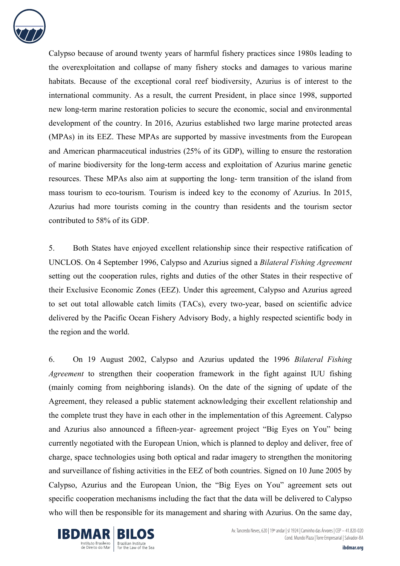

Calypso because of around twenty years of harmful fishery practices since 1980s leading to the overexploitation and collapse of many fishery stocks and damages to various marine habitats. Because of the exceptional coral reef biodiversity, Azurius is of interest to the international community. As a result, the current President, in place since 1998, supported new long-term marine restoration policies to secure the economic, social and environmental development of the country. In 2016, Azurius established two large marine protected areas (MPAs) in its EEZ. These MPAs are supported by massive investments from the European and American pharmaceutical industries (25% of its GDP), willing to ensure the restoration of marine biodiversity for the long-term access and exploitation of Azurius marine genetic resources. These MPAs also aim at supporting the long- term transition of the island from mass tourism to eco-tourism. Tourism is indeed key to the economy of Azurius. In 2015, Azurius had more tourists coming in the country than residents and the tourism sector contributed to 58% of its GDP.

5. Both States have enjoyed excellent relationship since their respective ratification of UNCLOS. On 4 September 1996, Calypso and Azurius signed a *Bilateral Fishing Agreement* setting out the cooperation rules, rights and duties of the other States in their respective of their Exclusive Economic Zones (EEZ). Under this agreement, Calypso and Azurius agreed to set out total allowable catch limits (TACs), every two-year, based on scientific advice delivered by the Pacific Ocean Fishery Advisory Body, a highly respected scientific body in the region and the world.

6. On 19 August 2002, Calypso and Azurius updated the 1996 *Bilateral Fishing Agreement* to strengthen their cooperation framework in the fight against IUU fishing (mainly coming from neighboring islands). On the date of the signing of update of the Agreement, they released a public statement acknowledging their excellent relationship and the complete trust they have in each other in the implementation of this Agreement. Calypso and Azurius also announced a fifteen-year- agreement project "Big Eyes on You" being currently negotiated with the European Union, which is planned to deploy and deliver, free of charge, space technologies using both optical and radar imagery to strengthen the monitoring and surveillance of fishing activities in the EEZ of both countries. Signed on 10 June 2005 by Calypso, Azurius and the European Union, the "Big Eyes on You" agreement sets out specific cooperation mechanisms including the fact that the data will be delivered to Calypso who will then be responsible for its management and sharing with Azurius. On the same day,



Av. Tancredo Neves, 620 | 19º andar | sl 1924 | Caminho das Árvores | CEP – 41.820-020 Cond. Mundo Plaza | Torre Empresarial | Salvador-BA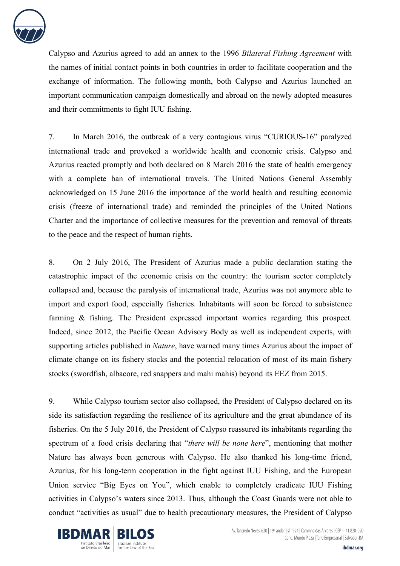

Calypso and Azurius agreed to add an annex to the 1996 *Bilateral Fishing Agreement* with the names of initial contact points in both countries in order to facilitate cooperation and the exchange of information. The following month, both Calypso and Azurius launched an important communication campaign domestically and abroad on the newly adopted measures and their commitments to fight IUU fishing.

7. In March 2016, the outbreak of a very contagious virus "CURIOUS-16" paralyzed international trade and provoked a worldwide health and economic crisis. Calypso and Azurius reacted promptly and both declared on 8 March 2016 the state of health emergency with a complete ban of international travels. The United Nations General Assembly acknowledged on 15 June 2016 the importance of the world health and resulting economic crisis (freeze of international trade) and reminded the principles of the United Nations Charter and the importance of collective measures for the prevention and removal of threats to the peace and the respect of human rights.

8. On 2 July 2016, The President of Azurius made a public declaration stating the catastrophic impact of the economic crisis on the country: the tourism sector completely collapsed and, because the paralysis of international trade, Azurius was not anymore able to import and export food, especially fisheries. Inhabitants will soon be forced to subsistence farming & fishing. The President expressed important worries regarding this prospect. Indeed, since 2012, the Pacific Ocean Advisory Body as well as independent experts, with supporting articles published in *Nature*, have warned many times Azurius about the impact of climate change on its fishery stocks and the potential relocation of most of its main fishery stocks (swordfish, albacore, red snappers and mahi mahis) beyond its EEZ from 2015.

9. While Calypso tourism sector also collapsed, the President of Calypso declared on its side its satisfaction regarding the resilience of its agriculture and the great abundance of its fisheries. On the 5 July 2016, the President of Calypso reassured its inhabitants regarding the spectrum of a food crisis declaring that "*there will be none here*", mentioning that mother Nature has always been generous with Calypso. He also thanked his long-time friend, Azurius, for his long-term cooperation in the fight against IUU Fishing, and the European Union service "Big Eyes on You", which enable to completely eradicate IUU Fishing activities in Calypso's waters since 2013. Thus, although the Coast Guards were not able to conduct "activities as usual" due to health precautionary measures, the President of Calypso



Av. Tancredo Neves, 620 | 19º andar | sl 1924 | Caminho das Árvores | CEP – 41.820-020 Cond. Mundo Plaza | Torre Empresarial | Salvador-BA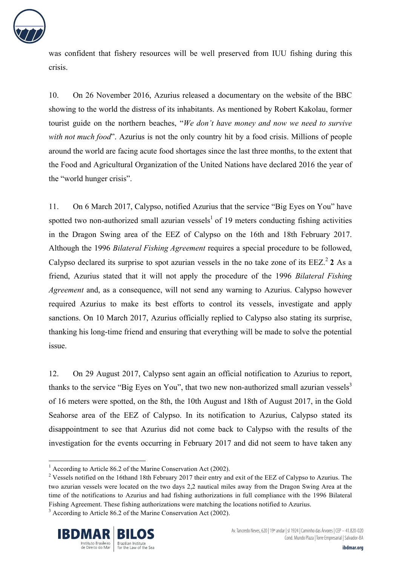

was confident that fishery resources will be well preserved from IUU fishing during this crisis.

10. On 26 November 2016, Azurius released a documentary on the website of the BBC showing to the world the distress of its inhabitants. As mentioned by Robert Kakolau, former tourist guide on the northern beaches, "*We don't have money and now we need to survive with not much food*". Azurius is not the only country hit by a food crisis. Millions of people around the world are facing acute food shortages since the last three months, to the extent that the Food and Agricultural Organization of the United Nations have declared 2016 the year of the "world hunger crisis".

11. On 6 March 2017, Calypso, notified Azurius that the service "Big Eyes on You" have spotted two non-authorized small azurian vessels<sup>1</sup> of 19 meters conducting fishing activities in the Dragon Swing area of the EEZ of Calypso on the 16th and 18th February 2017. Although the 1996 *Bilateral Fishing Agreement* requires a special procedure to be followed, Calypso declared its surprise to spot azurian vessels in the no take zone of its EEZ.<sup>2</sup> 2 As a friend, Azurius stated that it will not apply the procedure of the 1996 *Bilateral Fishing Agreement* and, as a consequence, will not send any warning to Azurius. Calypso however required Azurius to make its best efforts to control its vessels, investigate and apply sanctions. On 10 March 2017, Azurius officially replied to Calypso also stating its surprise, thanking his long-time friend and ensuring that everything will be made to solve the potential issue.

12. On 29 August 2017, Calypso sent again an official notification to Azurius to report, thanks to the service "Big Eyes on You", that two new non-authorized small azurian vessels<sup>3</sup> of 16 meters were spotted, on the 8th, the 10th August and 18th of August 2017, in the Gold Seahorse area of the EEZ of Calypso. In its notification to Azurius, Calypso stated its disappointment to see that Azurius did not come back to Calypso with the results of the investigation for the events occurring in February 2017 and did not seem to have taken any

 $3$  According to Article 86.2 of the Marine Conservation Act (2002).



 

<sup>&</sup>lt;sup>1</sup> According to Article 86.2 of the Marine Conservation Act (2002).

<sup>&</sup>lt;sup>2</sup> Vessels notified on the 16thand 18th February 2017 their entry and exit of the EEZ of Calypso to Azurius. The two azurian vessels were located on the two days 2,2 nautical miles away from the Dragon Swing Area at the time of the notifications to Azurius and had fishing authorizations in full compliance with the 1996 Bilateral Fishing Agreement. These fishing authorizations were matching the locations notified to Azurius.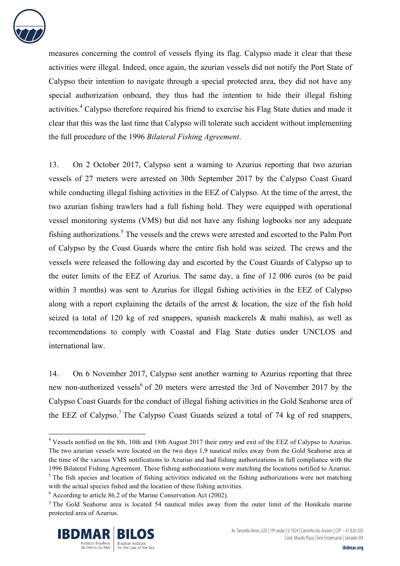

measures concerning the control of vessels flying its flag. Calypso made it clear that these activities were illegal. Indeed, once again, the azurian vessels did not notify the Port State of Calypso their intention to navigate through a special protected area, they did not have any special authorization onboard, they thus had the intention to hide their illegal fishing activities.<sup>4</sup> Calypso therefore required his friend to exercise his Flag State duties and made it clear that this was the last time that Calypso will tolerate such accident without implementing the full procedure of the 1996 *Bilateral Fishing Agreement*.

13. On 2 October 2017, Calypso sent a warning to Azurius reporting that two azurian vessels of 27 meters were arrested on 30th September 2017 by the Calypso Coast Guard while conducting illegal fishing activities in the EEZ of Calypso. At the time of the arrest, the two azurian fishing trawlers had a full fishing hold. They were equipped with operational vessel monitoring systems (VMS) but did not have any fishing logbooks nor any adequate fishing authorizations.<sup>5</sup> The vessels and the crews were arrested and escorted to the Palm Port of Calypso by the Coast Guards where the entire fish hold was seized. The crews and the vessels were released the following day and escorted by the Coast Guards of Calypso up to the outer limits of the EEZ of Azurius. The same day, a fine of 12 006 euros (to be paid within 3 months) was sent to Azurius for illegal fishing activities in the EEZ of Calypso along with a report explaining the details of the arrest  $\&$  location, the size of the fish hold seized (a total of 120 kg of red snappers, spanish mackerels  $\&$  mahi mahis), as well as recommendations to comply with Coastal and Flag State duties under UNCLOS and international law.

14. On 6 November 2017, Calypso sent another warning to Azurius reporting that three new non-authorized vessels<sup>6</sup> of 20 meters were arrested the 3rd of November 2017 by the Calypso Coast Guards for the conduct of illegal fishing activities in the Gold Seahorse area of the EEZ of Calypso.<sup>7</sup> The Calypso Coast Guards seized a total of 74 kg of red snappers,

<sup>7</sup> The Gold Seahorse area is located 54 nautical miles away from the outer limit of the Honikulu marine protected area of Azurius.



 <sup>4</sup> Vessels notified on the 8th, 10th and 18th August 2017 their entry and exit of the EEZ of Calypso to Azurius. The two azurian vessels were located on the two days 1,9 nautical miles away from the Gold Seahorse area at the time of the various VMS notifications to Azurius and had fishing authorizations in full compliance with the 1996 Bilateral Fishing Agreement. These fishing authorizations were matching the locations notified to Azurius.

<sup>&</sup>lt;sup>5</sup> The fish species and location of fishing activities indicated on the fishing authorizations were not matching with the actual species fished and the location of these fishing activities.

 $6$  According to article 86.2 of the Marine Conservation Act (2002).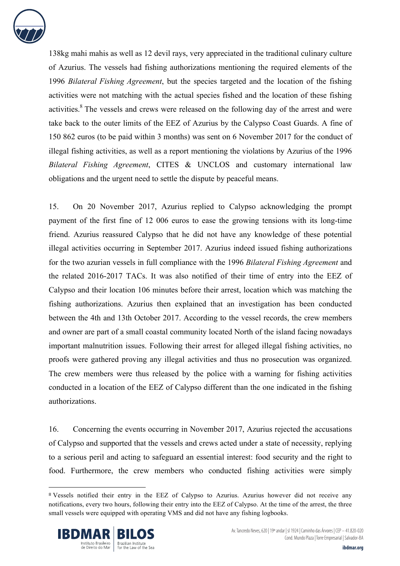

138kg mahi mahis as well as 12 devil rays, very appreciated in the traditional culinary culture of Azurius. The vessels had fishing authorizations mentioning the required elements of the 1996 *Bilateral Fishing Agreement*, but the species targeted and the location of the fishing activities were not matching with the actual species fished and the location of these fishing activities.<sup>8</sup> The vessels and crews were released on the following day of the arrest and were take back to the outer limits of the EEZ of Azurius by the Calypso Coast Guards. A fine of 150 862 euros (to be paid within 3 months) was sent on 6 November 2017 for the conduct of illegal fishing activities, as well as a report mentioning the violations by Azurius of the 1996 *Bilateral Fishing Agreement*, CITES & UNCLOS and customary international law obligations and the urgent need to settle the dispute by peaceful means.

15. On 20 November 2017, Azurius replied to Calypso acknowledging the prompt payment of the first fine of 12 006 euros to ease the growing tensions with its long-time friend. Azurius reassured Calypso that he did not have any knowledge of these potential illegal activities occurring in September 2017. Azurius indeed issued fishing authorizations for the two azurian vessels in full compliance with the 1996 *Bilateral Fishing Agreement* and the related 2016-2017 TACs. It was also notified of their time of entry into the EEZ of Calypso and their location 106 minutes before their arrest, location which was matching the fishing authorizations. Azurius then explained that an investigation has been conducted between the 4th and 13th October 2017. According to the vessel records, the crew members and owner are part of a small coastal community located North of the island facing nowadays important malnutrition issues. Following their arrest for alleged illegal fishing activities, no proofs were gathered proving any illegal activities and thus no prosecution was organized. The crew members were thus released by the police with a warning for fishing activities conducted in a location of the EEZ of Calypso different than the one indicated in the fishing authorizations.

16. Concerning the events occurring in November 2017, Azurius rejected the accusations of Calypso and supported that the vessels and crews acted under a state of necessity, replying to a serious peril and acting to safeguard an essential interest: food security and the right to food. Furthermore, the crew members who conducted fishing activities were simply

<sup>&</sup>lt;sup>8</sup> Vessels notified their entry in the EEZ of Calypso to Azurius. Azurius however did not receive any notifications, every two hours, following their entry into the EEZ of Calypso. At the time of the arrest, the three small vessels were equipped with operating VMS and did not have any fishing logbooks.

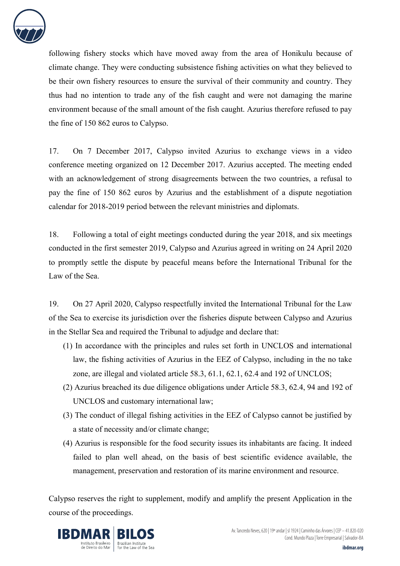

following fishery stocks which have moved away from the area of Honikulu because of climate change. They were conducting subsistence fishing activities on what they believed to be their own fishery resources to ensure the survival of their community and country. They thus had no intention to trade any of the fish caught and were not damaging the marine environment because of the small amount of the fish caught. Azurius therefore refused to pay the fine of 150 862 euros to Calypso.

17. On 7 December 2017, Calypso invited Azurius to exchange views in a video conference meeting organized on 12 December 2017. Azurius accepted. The meeting ended with an acknowledgement of strong disagreements between the two countries, a refusal to pay the fine of 150 862 euros by Azurius and the establishment of a dispute negotiation calendar for 2018-2019 period between the relevant ministries and diplomats.

18. Following a total of eight meetings conducted during the year 2018, and six meetings conducted in the first semester 2019, Calypso and Azurius agreed in writing on 24 April 2020 to promptly settle the dispute by peaceful means before the International Tribunal for the Law of the Sea.

19. On 27 April 2020, Calypso respectfully invited the International Tribunal for the Law of the Sea to exercise its jurisdiction over the fisheries dispute between Calypso and Azurius in the Stellar Sea and required the Tribunal to adjudge and declare that:

- (1) In accordance with the principles and rules set forth in UNCLOS and international law, the fishing activities of Azurius in the EEZ of Calypso, including in the no take zone, are illegal and violated article 58.3, 61.1, 62.1, 62.4 and 192 of UNCLOS;
- (2) Azurius breached its due diligence obligations under Article 58.3, 62.4, 94 and 192 of UNCLOS and customary international law;
- (3) The conduct of illegal fishing activities in the EEZ of Calypso cannot be justified by a state of necessity and/or climate change;
- (4) Azurius is responsible for the food security issues its inhabitants are facing. It indeed failed to plan well ahead, on the basis of best scientific evidence available, the management, preservation and restoration of its marine environment and resource.

Calypso reserves the right to supplement, modify and amplify the present Application in the course of the proceedings.

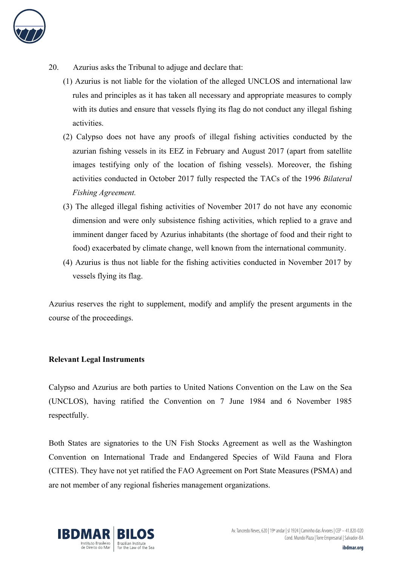

- 20. Azurius asks the Tribunal to adjuge and declare that:
	- (1) Azurius is not liable for the violation of the alleged UNCLOS and international law rules and principles as it has taken all necessary and appropriate measures to comply with its duties and ensure that vessels flying its flag do not conduct any illegal fishing activities.
	- (2) Calypso does not have any proofs of illegal fishing activities conducted by the azurian fishing vessels in its EEZ in February and August 2017 (apart from satellite images testifying only of the location of fishing vessels). Moreover, the fishing activities conducted in October 2017 fully respected the TACs of the 1996 *Bilateral Fishing Agreement.*
	- (3) The alleged illegal fishing activities of November 2017 do not have any economic dimension and were only subsistence fishing activities, which replied to a grave and imminent danger faced by Azurius inhabitants (the shortage of food and their right to food) exacerbated by climate change, well known from the international community.
	- (4) Azurius is thus not liable for the fishing activities conducted in November 2017 by vessels flying its flag.

Azurius reserves the right to supplement, modify and amplify the present arguments in the course of the proceedings.

#### **Relevant Legal Instruments**

Calypso and Azurius are both parties to United Nations Convention on the Law on the Sea (UNCLOS), having ratified the Convention on 7 June 1984 and 6 November 1985 respectfully.

Both States are signatories to the UN Fish Stocks Agreement as well as the Washington Convention on International Trade and Endangered Species of Wild Fauna and Flora (CITES). They have not yet ratified the FAO Agreement on Port State Measures (PSMA) and are not member of any regional fisheries management organizations.

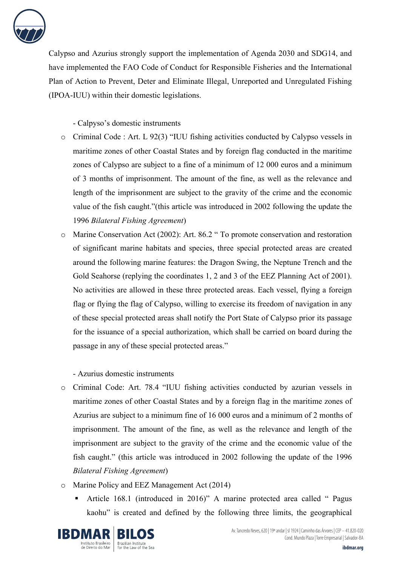

Calypso and Azurius strongly support the implementation of Agenda 2030 and SDG14, and have implemented the FAO Code of Conduct for Responsible Fisheries and the International Plan of Action to Prevent, Deter and Eliminate Illegal, Unreported and Unregulated Fishing (IPOA-IUU) within their domestic legislations.

- Calpyso's domestic instruments

- o Criminal Code : Art. L 92(3) "IUU fishing activities conducted by Calypso vessels in maritime zones of other Coastal States and by foreign flag conducted in the maritime zones of Calypso are subject to a fine of a minimum of 12 000 euros and a minimum of 3 months of imprisonment. The amount of the fine, as well as the relevance and length of the imprisonment are subject to the gravity of the crime and the economic value of the fish caught."(this article was introduced in 2002 following the update the 1996 *Bilateral Fishing Agreement*)
- o Marine Conservation Act (2002): Art. 86.2 " To promote conservation and restoration of significant marine habitats and species, three special protected areas are created around the following marine features: the Dragon Swing, the Neptune Trench and the Gold Seahorse (replying the coordinates 1, 2 and 3 of the EEZ Planning Act of 2001). No activities are allowed in these three protected areas. Each vessel, flying a foreign flag or flying the flag of Calypso, willing to exercise its freedom of navigation in any of these special protected areas shall notify the Port State of Calypso prior its passage for the issuance of a special authorization, which shall be carried on board during the passage in any of these special protected areas."

- Azurius domestic instruments

- o Criminal Code: Art. 78.4 "IUU fishing activities conducted by azurian vessels in maritime zones of other Coastal States and by a foreign flag in the maritime zones of Azurius are subject to a minimum fine of 16 000 euros and a minimum of 2 months of imprisonment. The amount of the fine, as well as the relevance and length of the imprisonment are subject to the gravity of the crime and the economic value of the fish caught." (this article was introduced in 2002 following the update of the 1996 *Bilateral Fishing Agreement*)
- o Marine Policy and EEZ Management Act (2014)
	- § Article 168.1 (introduced in 2016)" A marine protected area called " Pagus kaohu" is created and defined by the following three limits, the geographical

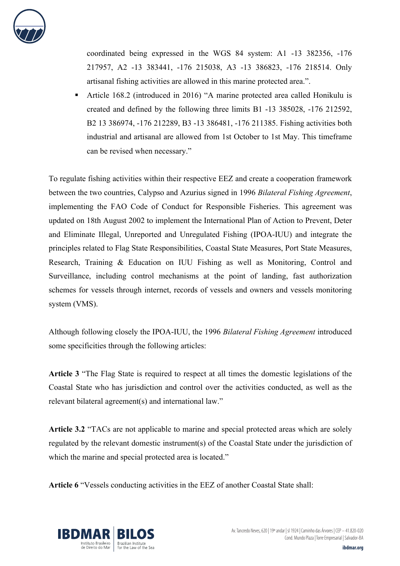

coordinated being expressed in the WGS 84 system: A1 -13 382356, -176 217957, A2 -13 383441, -176 215038, A3 -13 386823, -176 218514. Only artisanal fishing activities are allowed in this marine protected area.".

§ Article 168.2 (introduced in 2016) "A marine protected area called Honikulu is created and defined by the following three limits B1 -13 385028, -176 212592, B2 13 386974, -176 212289, B3 -13 386481, -176 211385. Fishing activities both industrial and artisanal are allowed from 1st October to 1st May. This timeframe can be revised when necessary."

To regulate fishing activities within their respective EEZ and create a cooperation framework between the two countries, Calypso and Azurius signed in 1996 *Bilateral Fishing Agreement*, implementing the FAO Code of Conduct for Responsible Fisheries. This agreement was updated on 18th August 2002 to implement the International Plan of Action to Prevent, Deter and Eliminate Illegal, Unreported and Unregulated Fishing (IPOA-IUU) and integrate the principles related to Flag State Responsibilities, Coastal State Measures, Port State Measures, Research, Training & Education on IUU Fishing as well as Monitoring, Control and Surveillance, including control mechanisms at the point of landing, fast authorization schemes for vessels through internet, records of vessels and owners and vessels monitoring system (VMS).

Although following closely the IPOA-IUU, the 1996 *Bilateral Fishing Agreement* introduced some specificities through the following articles:

**Article 3** "The Flag State is required to respect at all times the domestic legislations of the Coastal State who has jurisdiction and control over the activities conducted, as well as the relevant bilateral agreement(s) and international law."

**Article 3.2** "TACs are not applicable to marine and special protected areas which are solely regulated by the relevant domestic instrument(s) of the Coastal State under the jurisdiction of which the marine and special protected area is located."

**Article 6** "Vessels conducting activities in the EEZ of another Coastal State shall:

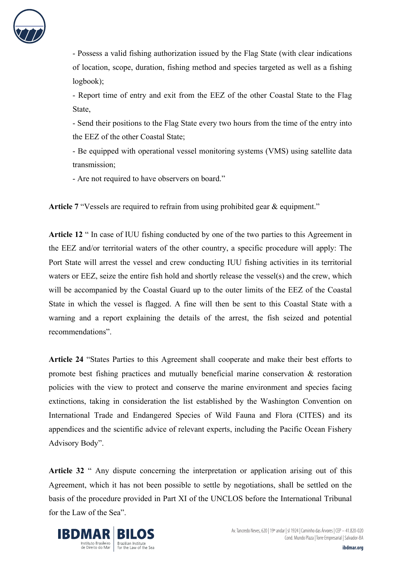

- Possess a valid fishing authorization issued by the Flag State (with clear indications of location, scope, duration, fishing method and species targeted as well as a fishing logbook);

- Report time of entry and exit from the EEZ of the other Coastal State to the Flag State,

- Send their positions to the Flag State every two hours from the time of the entry into the EEZ of the other Coastal State;

- Be equipped with operational vessel monitoring systems (VMS) using satellite data transmission;

- Are not required to have observers on board."

Article 7 "Vessels are required to refrain from using prohibited gear & equipment."

**Article 12** " In case of IUU fishing conducted by one of the two parties to this Agreement in the EEZ and/or territorial waters of the other country, a specific procedure will apply: The Port State will arrest the vessel and crew conducting IUU fishing activities in its territorial waters or EEZ, seize the entire fish hold and shortly release the vessel(s) and the crew, which will be accompanied by the Coastal Guard up to the outer limits of the EEZ of the Coastal State in which the vessel is flagged. A fine will then be sent to this Coastal State with a warning and a report explaining the details of the arrest, the fish seized and potential recommendations".

**Article 24** "States Parties to this Agreement shall cooperate and make their best efforts to promote best fishing practices and mutually beneficial marine conservation & restoration policies with the view to protect and conserve the marine environment and species facing extinctions, taking in consideration the list established by the Washington Convention on International Trade and Endangered Species of Wild Fauna and Flora (CITES) and its appendices and the scientific advice of relevant experts, including the Pacific Ocean Fishery Advisory Body".

**Article 32** " Any dispute concerning the interpretation or application arising out of this Agreement, which it has not been possible to settle by negotiations, shall be settled on the basis of the procedure provided in Part XI of the UNCLOS before the International Tribunal for the Law of the Sea".